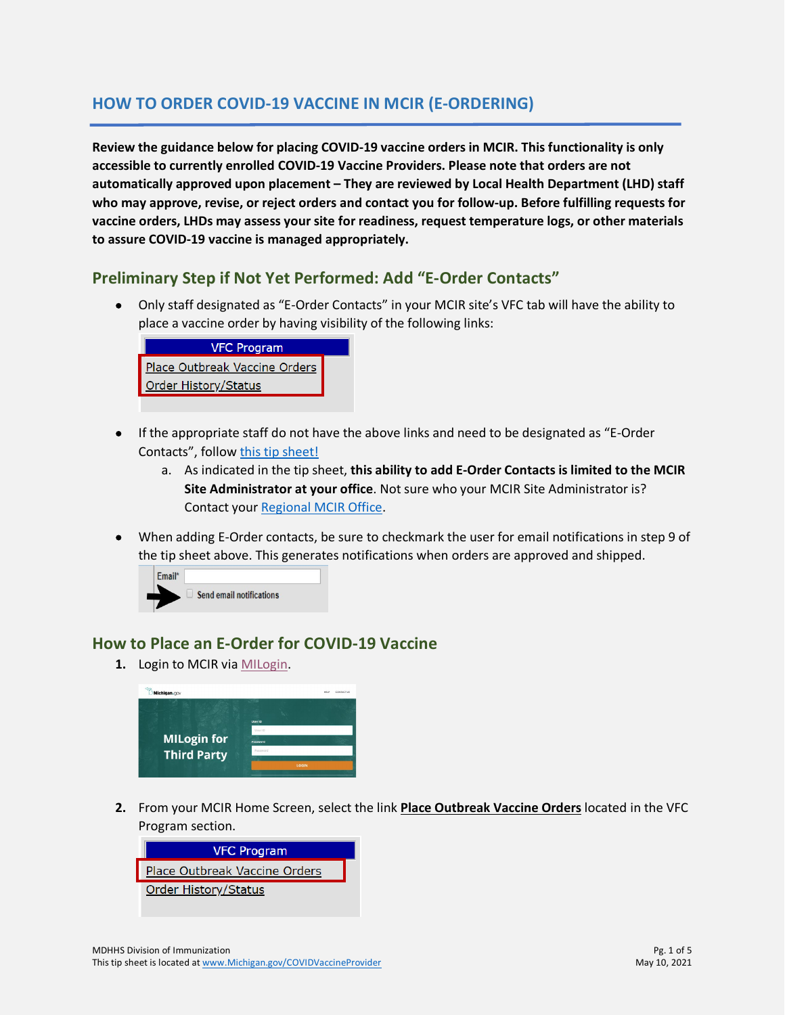## **HOW TO ORDER COVID-19 VACCINE IN MCIR (E-ORDERING)**

**Review the guidance below for placing COVID-19 vaccine orders in MCIR. This functionality is only accessible to currently enrolled COVID-19 Vaccine Providers. Please note that orders are not automatically approved upon placement – They are reviewed by Local Health Department (LHD) staff who may approve, revise, or reject orders and contact you for follow-up. Before fulfilling requests for vaccine orders, LHDs may assess your site for readiness, request temperature logs, or other materials to assure COVID-19 vaccine is managed appropriately.**

## **Preliminary Step if Not Yet Performed: Add "E-Order Contacts"**

• Only staff designated as "E-Order Contacts" in your MCIR site's VFC tab will have the ability to place a vaccine order by having visibility of the following links:



- If the appropriate staff do not have the above links and need to be designated as "E-Order Contacts", follow [this tip sheet!](https://www.michigan.gov/documents/mdhhs/HowtoAddEOrderOrderContactfinal__12182020_710951_7.pdf)
	- a. As indicated in the tip sheet, **this ability to add E-Order Contacts is limited to the MCIR Site Administrator at your office**. Not sure who your MCIR Site Administrator is? Contact your [Regional MCIR Office.](https://www.mcir.org/providers/contact-regions/)
- When adding E-Order contacts, be sure to checkmark the user for email notifications in step 9 of the tip sheet above. This generates notifications when orders are approved and shipped.



## **How to Place an E-Order for COVID-19 Vaccine**

**1.** Login to MCIR via [MILogin.](https://milogintp.michigan.gov/eai/tplogin/authenticate?URL=/)



**2.** From your MCIR Home Screen, select the link **Place Outbreak Vaccine Orders** located in the VFC Program section.

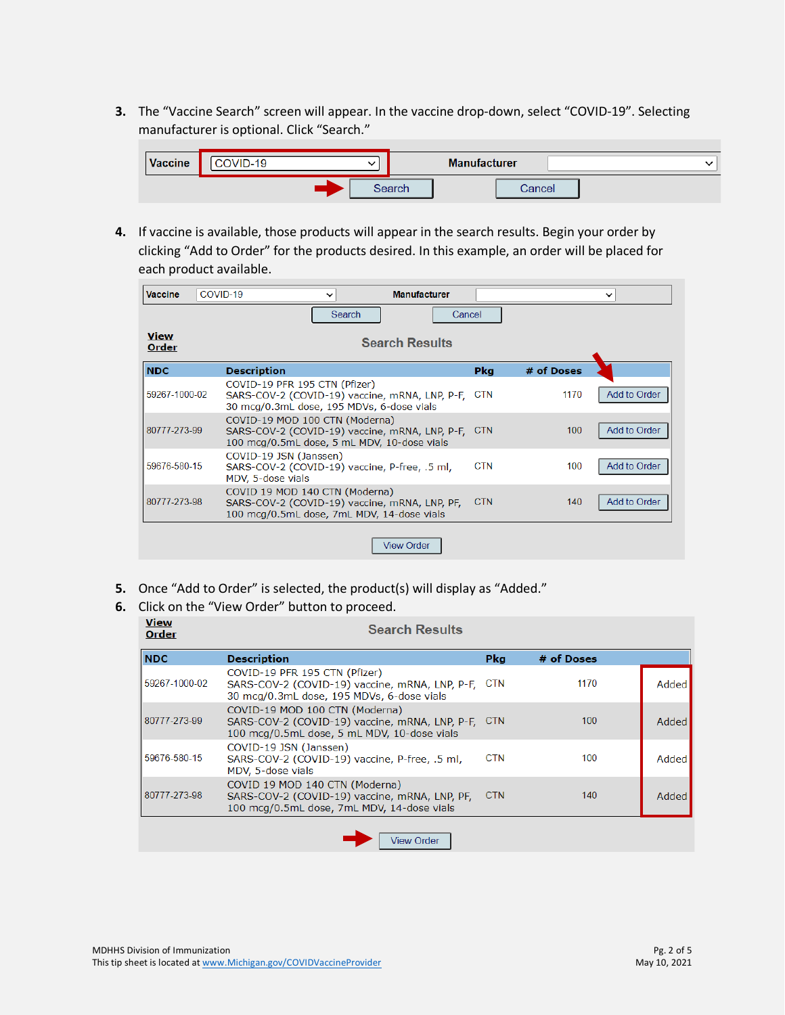**3.** The "Vaccine Search" screen will appear. In the vaccine drop-down, select "COVID-19". Selecting manufacturer is optional. Click "Search."

| <b>Vaccine</b> | COVID-19 |        | <b>Manufacturer</b> |  |
|----------------|----------|--------|---------------------|--|
|                |          | Search | Cancel              |  |

**4.** If vaccine is available, those products will appear in the search results. Begin your order by clicking "Add to Order" for the products desired. In this example, an order will be placed for each product available.

| <b>Vaccine</b>       | COVID-19<br><b>Manufacturer</b><br>$\check{ }$                                                                                  |            |            | $\check{ }$  |
|----------------------|---------------------------------------------------------------------------------------------------------------------------------|------------|------------|--------------|
|                      | Search                                                                                                                          | Cancel     |            |              |
| <b>View</b><br>Order | <b>Search Results</b>                                                                                                           |            |            |              |
| <b>NDC</b>           | <b>Description</b>                                                                                                              | <b>Pkg</b> | # of Doses |              |
| 59267-1000-02        | COVID-19 PFR 195 CTN (Pfizer)<br>SARS-COV-2 (COVID-19) vaccine, mRNA, LNP, P-F,<br>30 mcg/0.3mL dose, 195 MDVs, 6-dose vials    | <b>CTN</b> | 1170       | Add to Order |
| 80777-273-99         | COVID-19 MOD 100 CTN (Moderna)<br>SARS-COV-2 (COVID-19) vaccine, mRNA, LNP, P-F,<br>100 mcg/0.5mL dose, 5 mL MDV, 10-dose vials | <b>CTN</b> | 100        | Add to Order |
| 59676-580-15         | COVID-19 JSN (Janssen)<br>SARS-COV-2 (COVID-19) vaccine, P-free, .5 ml,<br>MDV, 5-dose vials                                    | <b>CTN</b> | 100        | Add to Order |
| 80777-273-98         | COVID 19 MOD 140 CTN (Moderna)<br>SARS-COV-2 (COVID-19) vaccine, mRNA, LNP, PF,<br>100 mcg/0.5mL dose, 7mL MDV, 14-dose vials   | <b>CTN</b> | 140        | Add to Order |
|                      | <b>View Order</b>                                                                                                               |            |            |              |

**5.** Once "Add to Order" is selected, the product(s) will display as "Added."

## **6.** Click on the "View Order" button to proceed.

| <b>View</b><br>Order | <b>Search Results</b>                                                                                                               |            |            |       |
|----------------------|-------------------------------------------------------------------------------------------------------------------------------------|------------|------------|-------|
| <b>NDC</b>           | <b>Description</b>                                                                                                                  | Pka        | # of Doses |       |
| 59267-1000-02        | COVID-19 PFR 195 CTN (Pfizer)<br>SARS-COV-2 (COVID-19) vaccine, mRNA, LNP, P-F, CTN<br>30 mcg/0.3mL dose, 195 MDVs, 6-dose vials    |            | 1170       | Added |
| 80777-273-99         | COVID-19 MOD 100 CTN (Moderna)<br>SARS-COV-2 (COVID-19) vaccine, mRNA, LNP, P-F, CTN<br>100 mcg/0.5mL dose, 5 mL MDV, 10-dose vials |            | 100        | Added |
| 59676-580-15         | COVID-19 JSN (Janssen)<br>SARS-COV-2 (COVID-19) vaccine, P-free, .5 ml,<br>MDV, 5-dose vials                                        | <b>CTN</b> | 100        | Added |
| 80777-273-98         | COVID 19 MOD 140 CTN (Moderna)<br>SARS-COV-2 (COVID-19) vaccine, mRNA, LNP, PF,<br>100 mcg/0.5mL dose, 7mL MDV, 14-dose vials       | <b>CTN</b> | 140        | Added |
|                      |                                                                                                                                     |            |            |       |

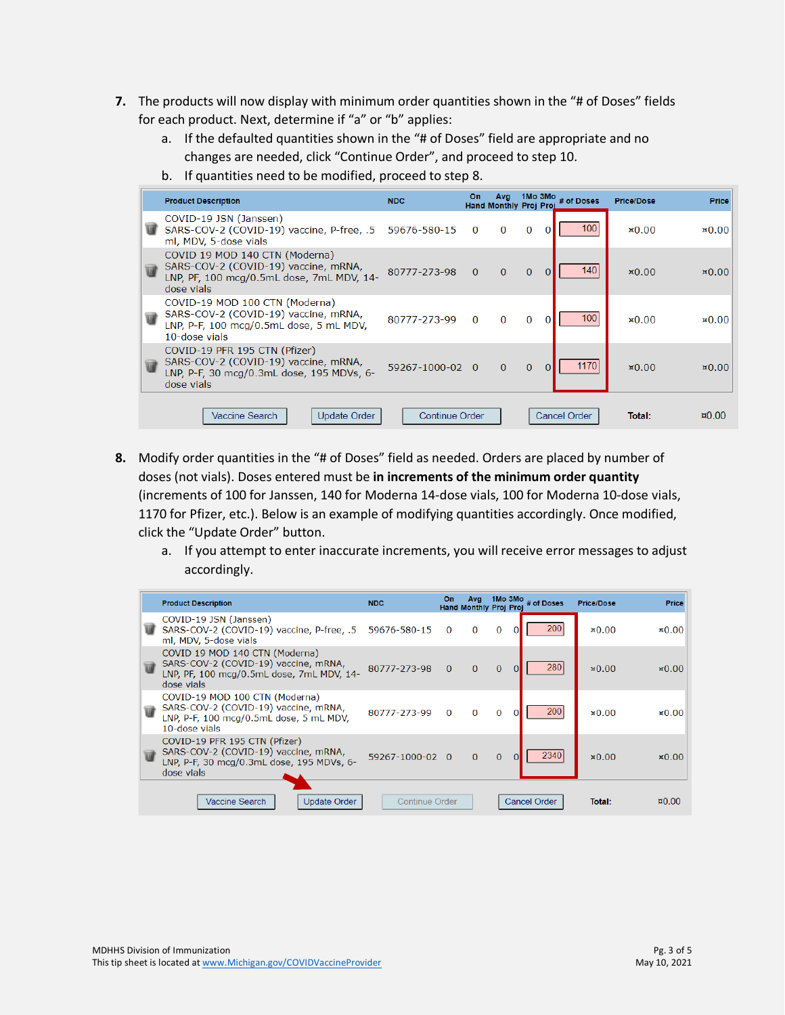- **7.** The products will now display with minimum order quantities shown in the "# of Doses" fields for each product. Next, determine if "a" or "b" applies:
	- a. If the defaulted quantities shown in the "# of Doses" field are appropriate and no changes are needed, click "Continue Order", and proceed to step 10.
	- b. If quantities need to be modified, proceed to step 8.

|   | <b>Product Description</b>                                                                                                         | <b>NDC</b>            | On       | <b>Avg</b><br>Hand Monthly Proj Proj |              | 1Mo 3Mo $#$ of Doses | <b>Price/Dose</b> | <b>Price</b>      |
|---|------------------------------------------------------------------------------------------------------------------------------------|-----------------------|----------|--------------------------------------|--------------|----------------------|-------------------|-------------------|
|   | COVID-19 JSN (Janssen)<br>SARS-COV-2 (COVID-19) vaccine, P-free, .5 59676-580-15<br>ml, MDV, 5-dose vials                          |                       | $\Omega$ | $\Omega$                             | $\Omega$     | 100<br>$\Omega$      | $\mathbf{x}$ 0.00 | $\mathbf{10.00}$  |
|   | COVID 19 MOD 140 CTN (Moderna)<br>SARS-COV-2 (COVID-19) vaccine, mRNA,<br>LNP, PF, 100 mcg/0.5mL dose, 7mL MDV, 14-<br>dose vials  | 80777-273-98          | $\Omega$ | $\Omega$                             | $\Omega$     | 140<br>$\Omega$      | $\mathbf{10.00}$  | $\mathbf{10.00}$  |
| W | COVID-19 MOD 100 CTN (Moderna)<br>SARS-COV-2 (COVID-19) vaccine, mRNA,<br>LNP, P-F, 100 mcg/0.5mL dose, 5 mL MDV,<br>10-dose vials | 80777-273-99          | $\Omega$ | $\Omega$                             | $\Omega$     | 100                  | $\mathbf{10.00}$  | $\mathbf{x}$ 0.00 |
| W | COVID-19 PFR 195 CTN (Pfizer)<br>SARS-COV-2 (COVID-19) vaccine, mRNA,<br>LNP, P-F, 30 mcg/0.3mL dose, 195 MDVs, 6-<br>dose vials   | 59267-1000-02 0       |          | $\Omega$                             | $\mathbf{0}$ | 1170<br>$\Omega$     | $\mathbf{x}$ 0.00 | $\mathbf{10.00}$  |
|   | <b>Update Order</b><br>Vaccine Search                                                                                              | <b>Continue Order</b> |          |                                      |              | <b>Cancel Order</b>  | Total:            | $\text{m}0.00$    |

- **8.** Modify order quantities in the "# of Doses" field as needed. Orders are placed by number of doses (not vials). Doses entered must be **in increments of the minimum order quantity** (increments of 100 for Janssen, 140 for Moderna 14-dose vials, 100 for Moderna 10-dose vials, 1170 for Pfizer, etc.). Below is an example of modifying quantities accordingly. Once modified, click the "Update Order" button.
	- a. If you attempt to enter inaccurate increments, you will receive error messages to adjust accordingly.

|                | <b>Product Description</b>                                                                                                         | <b>NDC</b>            | Οn       | Avg<br>Hand Monthly Proj Proj |              |          | 1Mo 3Mo $#$ of Doses | <b>Price/Dose</b> | <b>Price</b>          |
|----------------|------------------------------------------------------------------------------------------------------------------------------------|-----------------------|----------|-------------------------------|--------------|----------|----------------------|-------------------|-----------------------|
|                | COVID-19 JSN (Janssen)<br>SARS-COV-2 (COVID-19) vaccine, P-free, .5 59676-580-15<br>ml, MDV, 5-dose vials                          |                       | $\Omega$ | $\bf{0}$                      | $\bf{0}$     | $\Omega$ | 200                  | $\mathbf{10.00}$  | $\mathbf{10.00}$      |
| $\overline{u}$ | COVID 19 MOD 140 CTN (Moderna)<br>SARS-COV-2 (COVID-19) vaccine, mRNA,<br>LNP, PF, 100 mcg/0.5mL dose, 7mL MDV, 14-<br>dose vials  | 80777-273-98          | $\Omega$ | $\Omega$                      | $\Omega$     | $\Omega$ | 280                  | $\mathbf{X}$ 0.00 | $\mathbf{10.00}$      |
| W              | COVID-19 MOD 100 CTN (Moderna)<br>SARS-COV-2 (COVID-19) vaccine, mRNA,<br>LNP, P-F, 100 mcg/0.5mL dose, 5 mL MDV,<br>10-dose vials | 80777-273-99          | $\Omega$ | $\Omega$                      | $\mathbf{0}$ | 0        | 200                  | $\mathbf{10.00}$  | $\mathbf{10.00}$      |
| W              | COVID-19 PFR 195 CTN (Pfizer)<br>SARS-COV-2 (COVID-19) vaccine, mRNA,<br>LNP, P-F, 30 mcg/0.3mL dose, 195 MDVs, 6-<br>dose vials   | 59267-1000-02 0       |          | $\Omega$                      | $\Omega$     |          | 2340                 | $\mathbf{10.00}$  | $\mathbf{10.00}$      |
|                | <b>Vaccine Search</b><br><b>Update Order</b>                                                                                       | <b>Continue Order</b> |          |                               |              |          | <b>Cancel Order</b>  | Total:            | $\mu$ <sub>0.00</sub> |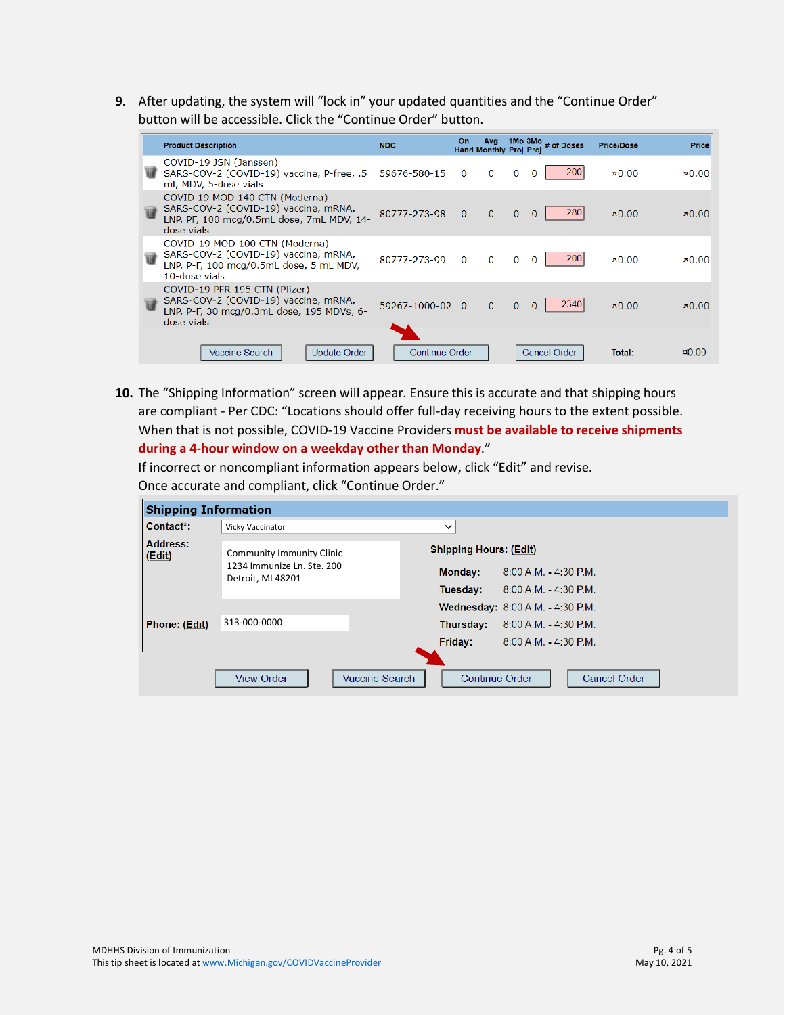**9.** After updating, the system will "lock in" your updated quantities and the "Continue Order" button will be accessible. Click the "Continue Order" button.

|   | <b>Product Description</b>                                                                                                         | <b>NDC</b>            | On           | <b>Avg</b><br>Hand Monthly Proj Proj |          | 1Mo $3Mo$ $#$ of Doses | <b>Price/Dose</b> | <b>Price</b>             |
|---|------------------------------------------------------------------------------------------------------------------------------------|-----------------------|--------------|--------------------------------------|----------|------------------------|-------------------|--------------------------|
|   | COVID-19 JSN (Janssen)<br>SARS-COV-2 (COVID-19) vaccine, P-free, .5 59676-580-15<br>ml, MDV, 5-dose vials                          |                       | $\Omega$     | $\bf{0}$                             | $\Omega$ | 200<br>$\Omega$        | $\mathbf{10.00}$  | $\mathbf{10.00}$         |
|   | COVID 19 MOD 140 CTN (Moderna)<br>SARS-COV-2 (COVID-19) vaccine, mRNA,<br>LNP, PF, 100 mcg/0.5mL dose, 7mL MDV, 14-<br>dose vials  | 80777-273-98          | $\mathbf{0}$ | $\Omega$                             | $\Omega$ | 280<br>$\Omega$        | $\mathbf{10.00}$  | $\mathbf{10.00}$         |
|   | COVID-19 MOD 100 CTN (Moderna)<br>SARS-COV-2 (COVID-19) vaccine, mRNA,<br>LNP, P-F, 100 mcg/0.5mL dose, 5 mL MDV,<br>10-dose vials | 80777-273-99          | $\Omega$     | $\Omega$                             | $\Omega$ | 200                    | $\mathbf{x}$ 0.00 | $\mathbf{x}$ 0.00        |
| W | COVID-19 PFR 195 CTN (Pfizer)<br>SARS-COV-2 (COVID-19) vaccine, mRNA,<br>LNP, P-F, 30 mcg/0.3mL dose, 195 MDVs, 6-<br>dose vials   | 59267-1000-02 0       |              | $\Omega$                             | $\Omega$ | 2340<br>$\Omega$       | $\times 0.00$     | $\times 0.00$            |
|   | Update Order<br>Vaccine Search                                                                                                     | <b>Continue Order</b> |              |                                      |          | <b>Cancel Order</b>    | Total:            | $\alpha$ <sub>0.00</sub> |

**10.** The "Shipping Information" screen will appear. Ensure this is accurate and that shipping hours are compliant - Per CDC: "Locations should offer full-day receiving hours to the extent possible. When that is not possible, COVID-19 Vaccine Providers **must be available to receive shipments during a 4-hour window on a weekday other than Monday**."

If incorrect or noncompliant information appears below, click "Edit" and revise. Once accurate and compliant, click "Continue Order."

| <b>Shipping Information</b> |                                                 |                                                |                                         |
|-----------------------------|-------------------------------------------------|------------------------------------------------|-----------------------------------------|
| Contact*:                   | Vicky Vaccinator                                | $\check{ }$                                    |                                         |
| <b>Address:</b><br>(Edi)    | <b>Community Immunity Clinic</b>                | <b>Shipping Hours: (Edit)</b>                  |                                         |
|                             | 1234 Immunize Ln. Ste. 200<br>Detroit, MI 48201 | Monday:                                        | $8:00$ A.M. $-4:30$ P.M.                |
|                             |                                                 | Tuesday:                                       | $8:00 A.M. - 4:30 P.M.$                 |
|                             |                                                 |                                                | <b>Wednesday: 8:00 A.M. - 4:30 P.M.</b> |
| Phone: (Edit)               | 313-000-0000                                    | Thursday:                                      | $8:00$ A.M. $-4:30$ P.M.                |
|                             |                                                 | Friday:                                        | $8:00$ A.M. $-4:30$ P.M.                |
|                             | <b>View Order</b>                               | <b>Vaccine Search</b><br><b>Continue Order</b> | <b>Cancel Order</b>                     |